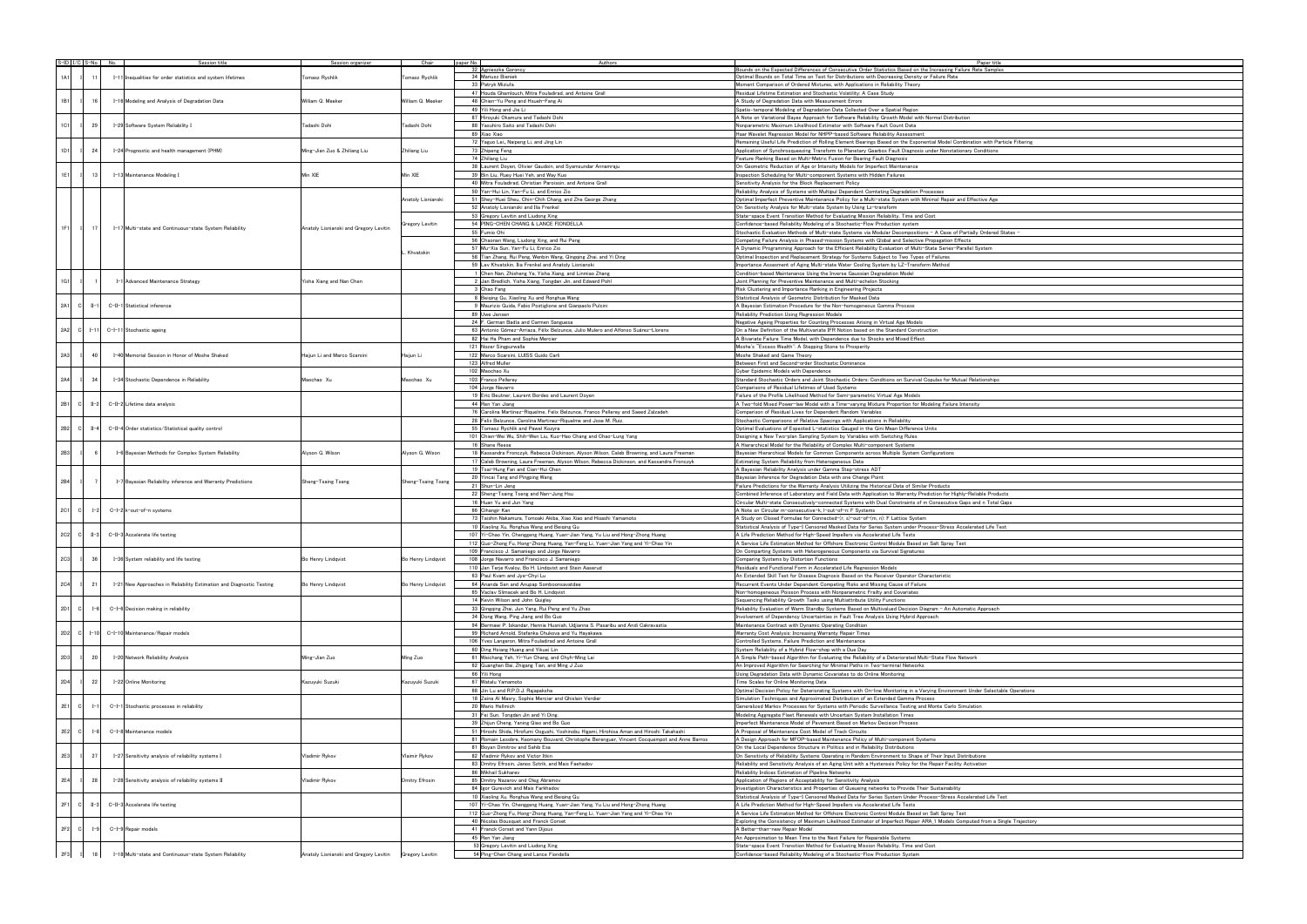|  |             |                 | $S$ -ID $V$ C $S$ -No. No. |  | Session title                                                        | Session organizer                                        | Chair                 | paper No. | Authors                                                                                      | Paper ti                                                                                                                                                                |
|--|-------------|-----------------|----------------------------|--|----------------------------------------------------------------------|----------------------------------------------------------|-----------------------|-----------|----------------------------------------------------------------------------------------------|-------------------------------------------------------------------------------------------------------------------------------------------------------------------------|
|  |             |                 |                            |  |                                                                      |                                                          |                       |           | 32 Agnieszka Goroncy                                                                         | Bounds on the Expected Differences of Consecutive Order Statistics Based on the Increasing Failure Rate Sam                                                             |
|  | 1A1         | 11              |                            |  | I-11 Inequalities for order statistics and system lifetimes          | Tomasz Rychlik                                           | Tomasz Rychlik        |           | 34 Mariusz Bieniek                                                                           | Optimal Bounds on Total Time on Test for Distributions with Decreasing Density or Failure Rate                                                                          |
|  |             |                 |                            |  |                                                                      |                                                          |                       |           | 33 Patryk Miziuła                                                                            | Moment Comparison of Ordered Mixtures, with Applications in Reliability Theory                                                                                          |
|  |             |                 |                            |  |                                                                      |                                                          |                       |           | 47 Houda Ghamlouch, Mitra Fouladirad, and Antoine Grall                                      | Residual Lifetime Estimation and Stochastic Volatility: A Case Study                                                                                                    |
|  | 1B1         | 16              |                            |  | I-16 Modeling and Analysis of Degradation Data                       | William Q. Meeker                                        | William Q. Meeker     |           | 48 Chien-Yu Peng and Hsueh-Fang Ai                                                           | A Study of Degradation Data with Measurement Errors                                                                                                                     |
|  |             |                 |                            |  |                                                                      |                                                          |                       |           | 49 Yili Hong and Jie Li                                                                      | Spatio-temporal Modeling of Degradation Data Collected Over a Spatial Region                                                                                            |
|  |             |                 |                            |  |                                                                      |                                                          |                       |           | 87 Hiroyuki Okamura and Tadashi Dohi                                                         | A Note on Variational Bayes Approach for Software Reliability Growth Model with Normal Distribution                                                                     |
|  | 1C1         | 29              |                            |  | I-29 Software System Reliability I                                   | Tadashi Dohi                                             | Tadashi Dohi          |           | 88 Yasuhiro Saito and Tadashi Dohi                                                           | Nonparametric Maximum Likelihood Estimator with Software Fault Count Data                                                                                               |
|  |             |                 |                            |  |                                                                      |                                                          |                       |           | 89 Xiao Xiao                                                                                 | Haar Wavelet Regression Model for NHPP-based Software Reliability Assessment                                                                                            |
|  |             |                 |                            |  |                                                                      |                                                          |                       |           | 72 Yaguo Lei, Naipeng Li, and Jing Lin                                                       | Remaining Useful Life Prediction of Rolling Element Bearings Based on the Exponential Model Combination with I                                                          |
|  | 1D1         | 24              |                            |  | I-24 Prognostic and health management (PHM)                          | Ming-Jian Zuo & Zhiliang Liu                             | Zhiliang Liu          |           | 73 Zhipeng Feng                                                                              | Application of Synchrosqueezing Transform to Planetary Gearbox Fault Diagnosis under Nonstationary Condition                                                            |
|  |             |                 |                            |  |                                                                      |                                                          |                       |           | 74 Zhiliang Liu                                                                              | Feature Ranking Based on Multi-Metric Fusion for Bearing Fault Diagnosis                                                                                                |
|  |             |                 |                            |  |                                                                      |                                                          |                       |           | 38 Laurent Doyen, Olivier Gaudoin, and Syamsundar Annamraju                                  | On Geometric Reduction of Age or Intensity Models for Imperfect Maintenance                                                                                             |
|  | 1E1         | 13 I            |                            |  | I-13 Maintenance Modeling I                                          | Min XIE                                                  | Min XIE               |           | 39 Bin Liu, Ruey Huei Yeh, and Way Kuo                                                       | Inspection Scheduling for Multi-component Systems with Hidden Failures                                                                                                  |
|  |             |                 |                            |  |                                                                      |                                                          |                       |           | 40 Mitra Fouladirad, Christian Paroissin, and Antoine Grall                                  | Sensitivity Analysis for the Block Replacement Policy                                                                                                                   |
|  |             |                 |                            |  |                                                                      |                                                          |                       |           | 50 Yan-Hui Lin, Yan-Fu Li, and Enrico Zio                                                    | Reliability Analysis of Systems with Multipul Dependent Comteting Degradation Processes                                                                                 |
|  |             |                 |                            |  |                                                                      |                                                          | Anatoly Lisnianski    |           | 51 Shey-Huei Sheu, Chin-Chih Chang, and Zhe George Zhang                                     | Optimal Imperfect Preventive Maintenance Policy for a Multi-state System with Minimal Repair and Effective Ag                                                           |
|  |             |                 |                            |  |                                                                      |                                                          |                       |           | 52 Anatoly Lisnianski and Ilia Frenkel                                                       | On Sensitivity Analysis for Multi-state System by Using Lz-transform                                                                                                    |
|  |             |                 |                            |  |                                                                      |                                                          |                       |           | 53 Gregory Levitin and Liudong Xing                                                          | State-space Event Transition Method for Evaluating Mission Reliability, Time and Cost                                                                                   |
|  |             |                 |                            |  |                                                                      |                                                          | Gregory Levitin       |           | 54 PING-CHEN CHANG & LANCE FIONDELLA                                                         | Confidence-based Reliability Modeling of a Stochastic-Flow Production system                                                                                            |
|  | 1F1         | 17 <sup>1</sup> |                            |  | I-17 Multi-state and Continuous-state System Reliability             | Anatoly Lisnianski and Gregory Levitin                   |                       |           | 55 Fumio Ohi                                                                                 | Stochastic Evaluation Methods of Multi-state Systems via Modular Decompositions - A Case of Partially Ordere                                                            |
|  |             |                 |                            |  |                                                                      |                                                          |                       |           | 56 Chaonan Wang, Liudong Xing, and Rui Peng                                                  | Competing Failure Analysis in Phased-mission Systems with Global and Selective Propagation Effects                                                                      |
|  |             |                 |                            |  |                                                                      |                                                          |                       |           | 57 Mu-Xia Sun, Yan-Fu Li, Enrico Zio                                                         | A Dynamic Programming Approach for the Efficient Reliability Evaluation of Multi-State Series-Parallel System                                                           |
|  |             |                 |                            |  |                                                                      |                                                          | Khvatskin             |           | 58 Tian Zhang, Rui Peng, Wenbin Wang, Qingqing Zhai, and Yi Ding                             | Optimal Inspection and Replacement Strategy for Systems Subject to Two Types of Failures                                                                                |
|  |             |                 |                            |  |                                                                      |                                                          |                       |           | 59 Lev Khvatskin, Ilia Frenkel and Anatoly Lisnianski                                        | Importance Assesment of Aging Multi-state Water Cooling System by LZ-Transform Method                                                                                   |
|  |             |                 |                            |  |                                                                      |                                                          |                       |           | 1 Chen Nan, Zhisheng Ye, Yisha Xiang, and Linmiao Zhang                                      | Condition-based Maintenance Using the Inverse Gaussian Degradation Model                                                                                                |
|  | 1G1         |                 |                            |  | I-1 Advanced Maintenance Strategy                                    | Yisha Xiang and Nan Chen                                 |                       |           | 2 Jan Bredlich, Yisha Xiang, Tongdan Jin, and Edward Pohl                                    | Joint Planning for Preventive Maintenance and Multi-echelon Stocking                                                                                                    |
|  |             |                 |                            |  |                                                                      |                                                          |                       |           |                                                                                              |                                                                                                                                                                         |
|  |             |                 |                            |  |                                                                      |                                                          |                       |           | 3 Chao Fang                                                                                  | Risk Clustering and Importance Ranking in Engineering Projects                                                                                                          |
|  |             |                 |                            |  |                                                                      |                                                          |                       |           | 8 Beiging Gu, Xiaoling Xu and Ronghua Wang                                                   | Statistical Analysis of Geometric Distribution for Masked Data                                                                                                          |
|  | 2A1<br>- cl | $II-1$          |                            |  | C-II-1 Statistical inference                                         |                                                          |                       |           | 9 Maurizio Guida, Fabio Postiglione and Gianpaolo Pulcini                                    | A Bavesian Estimation Procedure for the Non-homogeneous Gamma Process                                                                                                   |
|  |             |                 |                            |  |                                                                      |                                                          |                       |           | 89 Uwe Jensen                                                                                | Reliability Prediction Using Regression Models                                                                                                                          |
|  |             |                 |                            |  |                                                                      |                                                          |                       |           | 24 F. German Badía and Carmen Sanguesa                                                       | Negative Ageing Properties for Counting Processes Arising in Virtual Age Models                                                                                         |
|  | 2A2<br>- cl | $I - 11$        |                            |  | C-I-11 Stochastic ageing                                             |                                                          |                       |           | 63 Antonio Gómez-Arriaza, Félix Belzunce, Julio Mulero and Alfonso Suárez-Llorens            | On a New Definition of the Multivariate IFR Notion based on the Standard Construction                                                                                   |
|  |             |                 |                            |  |                                                                      |                                                          |                       |           | 82 Hai Ha Pham and Sophie Mercier                                                            | A Bivariate Failure Time Model, with Dependence due to Shocks and Mixed Effect                                                                                          |
|  |             |                 |                            |  |                                                                      |                                                          |                       |           | 121 Nozer Singpurwalla                                                                       | Moshe's "Excess Wealth": A Stepping Stone to Prosperity                                                                                                                 |
|  | 2A3         | 40              |                            |  | I-40 Memorial Session in Honor of Moshe Shaked                       | Haijun Li and Marco Scarsini                             | Haijun Li             |           | 122 Marco Scarsini, LUISS Guido Carli                                                        | Moshe Shaked and Game Theory                                                                                                                                            |
|  |             |                 |                            |  |                                                                      |                                                          |                       |           | 123 Alfred Muller                                                                            | Between First and Second-order Stochastic Dominance                                                                                                                     |
|  |             |                 |                            |  |                                                                      |                                                          |                       |           | 102 Maochao Xu                                                                               | Cyber Epidemic Models with Dependence                                                                                                                                   |
|  | 2A4         | 34              |                            |  | I-34 Stochastic Dependence in Reliability                            | Maochao Xu                                               | Maochao Xu            |           | 103 Franco Pellerey                                                                          | Standard Stochastic Orders and Joint Stochastic Orders: Conditions on Survival Copulas for Mutual Relationship                                                          |
|  |             |                 |                            |  |                                                                      |                                                          |                       |           | 104 Jorge Navarro                                                                            | Comparisons of Residual Lifetimes of Used Systems                                                                                                                       |
|  |             |                 |                            |  |                                                                      |                                                          |                       |           | 19 Eric Beutner, Laurent Bordes and Laurent Doyen                                            | Failure of the Profile Likelihood Method for Semi-parametric Virtual Age Models                                                                                         |
|  | 2B1<br>- CI | $II-2$          |                            |  | C-II-2 Lifetime data analysis                                        |                                                          |                       |           | 44 Ren Yan Jiang                                                                             | A Two-fold Mixed Power-law Model with a Time-varying Mixture Proportion for Modeling Failure Intensity                                                                  |
|  |             |                 |                            |  |                                                                      |                                                          |                       |           | 76 Carolina Martinez-Riquelme, Felix Belzunce, Franco Pellerey and Saeed Zalzadeh            | Comparison of Residual Lives for Dependent Random Variables                                                                                                             |
|  |             |                 |                            |  |                                                                      |                                                          |                       |           | 28 Felix Belzunce, Carolina Martinez-Riquelme and Jose M. Ruiz.                              | Stochastic Comparisons of Relative Spacings with Applications in Reliability                                                                                            |
|  | 2B2<br> C   | $II-4$          |                            |  | C-II-4 Order statistics/Statistical quality control                  |                                                          |                       |           | 55 Tomasz Rychlik and Pawel Kozyra                                                           | Optimal Evaluations of Expected L-statistics Gauged in the Gini Mean Difference Units                                                                                   |
|  |             |                 |                            |  |                                                                      |                                                          |                       |           | 101 Chien-Wei Wu, Shih-Wen Liu, Kuo-Hao Chang and Chao-Lung Yang                             | Designing a New Two-plan Sampling System by Variables with Switching Rules                                                                                              |
|  |             |                 |                            |  |                                                                      |                                                          |                       |           | 16 Shane Reese                                                                               | A Hierarchical Model for the Reliability of Complex Multi-component Systems                                                                                             |
|  | 2B3         | 6               |                            |  | I-6 Bayesian Methods for Complex System Reliability                  | Alyson G. Wilson                                         | Alyson G. Wilson      |           | 18 Kassandra Fronczyk, Rebecca Dickinson, Alyson Wilson, Caleb Browning, and Laura Freeman   | Bayesian Hierarchical Models for Common Components across Multiple System Configurations                                                                                |
|  |             |                 |                            |  |                                                                      |                                                          |                       |           | 17 Caleb Browning, Laura Freeman, Alyson Wilson, Rebecca Dickinson, and Kassandra Fronczyk   | Estimating System Reliability from Heterogeneous Data                                                                                                                   |
|  |             |                 |                            |  |                                                                      |                                                          |                       |           | 19 Tsai-Hung Fan and Cian-Hui Chen                                                           | A Bayesian Reliability Analysis under Gamma Step-stress ADT                                                                                                             |
|  |             |                 |                            |  |                                                                      |                                                          |                       |           | 20 Yincai Tang and Pingping Wang                                                             | Bayesian Inference for Degradation Data with one Change Point                                                                                                           |
|  | 2B4         | 7               |                            |  | I-7 Bayesian Reliability inference and Warranty Predictions          | Sheng-Tsaing Tseng                                       | Sheng-Tsaing Tseng    |           | 21 Shun-Lin Jeng                                                                             | Failure Predictions for the Warranty Analysis Utilizing the Historical Data of Similar Products                                                                         |
|  |             |                 |                            |  |                                                                      |                                                          |                       |           | 22 Sheng-Tsaing Tseng and Nan-Jung Hsu                                                       | Combined Inference of Laboratory and Field Data with Application to Warranty Prediction for Highly-Reliable Pro                                                         |
|  |             |                 |                            |  |                                                                      |                                                          |                       |           | 16 Huan Yu and Jun Yang                                                                      |                                                                                                                                                                         |
|  | 2C1<br>- cl | $I - 2$         |                            |  |                                                                      |                                                          |                       |           | 66 Cihangir Kan                                                                              | Circular Multi-state Consecutively-connected Systems with Dual Constraints of m Consecutive Gaps and n Tot<br>A Note on Circular m-consecutive-k, I-out-of-n: F Systems |
|  |             |                 |                            |  | C-I-2 k-out-of-n systems                                             |                                                          |                       |           | 73 Taishin Nakamura, Tomoaki Akiba, Xiao Xiao and Hisashi Yamamoto                           | A Study on Closed Formulae for Connected-(r, s)-out-of-(m, n): F Lattice System                                                                                         |
|  |             |                 |                            |  |                                                                      |                                                          |                       |           |                                                                                              |                                                                                                                                                                         |
|  |             |                 |                            |  |                                                                      |                                                          |                       |           | 10 Xiaoling Xu, Ronghua Wang and Beiging Gu                                                  | Statistical Analysis of Type-I Censored Masked Data for Series System under Process-Stress Accelerated Life                                                             |
|  | 2C2<br>- Cl | $II-3$          |                            |  | C-II-3 Accelerate life testing                                       |                                                          |                       |           | 107 Yi-Chao Yin, Chenggeng Huang, Yuan-Jian Yang, Yu Liu and Hong-Zhong Huang                | A Life Prediction Method for High-Speed Impellers via Accelerated Life Tests                                                                                            |
|  |             |                 |                            |  |                                                                      |                                                          |                       |           | 112 Guo-Zhong Fu, Hong-Zhong Huang, Yan-Feng Li, Yuan-Jian Yang and Yi-Chao Yin              | A Service Life Estimation Method for Offshore Electronic Control Module Based on Salt Sprav Test                                                                        |
|  |             |                 |                            |  |                                                                      |                                                          |                       |           | 109 Francisco J. Samaniego and Jorge Navarro                                                 | On Comparting Systems with Heterogeneous Components via Survival Signatures                                                                                             |
|  | 2C3         | 36              |                            |  | I-36 System reliability and life testing                             | Bo Henry Lindqvist                                       | Bo Henry Lindqvist    |           | 108 Jorge Navarro and Francisco J. Samaniego                                                 | Comparing Systems by Distortion Functions                                                                                                                               |
|  |             |                 |                            |  |                                                                      |                                                          |                       |           | 110 Jan Terje Kvaloy, Bo H. Lindqvist and Stein Aaserud                                      | Residuals and Functional Form in Accelerated Life Regression Models                                                                                                     |
|  |             |                 |                            |  |                                                                      |                                                          |                       |           | 63 Paul Kvam and Jye-Chyi Lu                                                                 | An Extended Skill Test for Disease Diagnosis Based on the Receiver Operator Characteristic                                                                              |
|  | 2C4         | 21              |                            |  | I-21 New Approaches in Reliability Estimation and Diagnostic Testing | Bo Henry Lindqvist                                       | Bo Henry Lindqvist    |           | 64 Ananda Sen and Anupap Somboonsavatdee                                                     | Recurrent Events Under Dependent Competing Risks and Missing Cause of Failure                                                                                           |
|  |             |                 |                            |  |                                                                      |                                                          |                       |           | 65 Vaclav Slimacek and Bo H. Lindqvist                                                       | Non-homogeneous Poisson Process with Nonparametric Frailty and Covariates                                                                                               |
|  |             |                 |                            |  |                                                                      |                                                          |                       |           | 14 Kevin Wilson and John Quigley                                                             | Sequencing Reliability Growth Tasks using Multiattribute Utility Functions                                                                                              |
|  | 2D1<br>- cl | $I - 6$         |                            |  | C-I-6 Decision making in reliability                                 |                                                          |                       |           | 33 Qingqing Zhai, Jun Yang, Rui Peng and Yu Zhao                                             | Reliability Evaluation of Warm Standby Systems Based on Multivalued Decision Diagram - An Automatic Approad                                                             |
|  |             |                 |                            |  |                                                                      |                                                          |                       |           | 34 Dong Wang, Ping Jiang and Bo Guo                                                          | Involvement of Dependency Uncertainties in Fault Tree Analysis Using Hybrid Approach                                                                                    |
|  |             |                 |                            |  |                                                                      |                                                          |                       |           | 94 Bermawi P. Iskandar, Hennie Husniah, Udjianna S. Pasaribu and Andi Cakravastia            | Maintenance Contract with Dynamic Operating Condition                                                                                                                   |
|  | 2D2<br>- cl |                 |                            |  | I-10 C-I-10 Maintenance/Repair models                                |                                                          |                       |           | 99 Richard Arnold, Stefanka Chukova and Yu Hayakawa                                          | Warranty Cost Analysis: Increasing Warranty Repair Times                                                                                                                |
|  |             |                 |                            |  |                                                                      |                                                          |                       |           | 106 Yves Langeron, Mitra Fouladirad and Antoine Grall                                        | Controlled Systems, Failure Prediction and Maintenance                                                                                                                  |
|  |             |                 |                            |  |                                                                      |                                                          |                       |           | 60 Ding Hsiang Huang and Yikuei Lin                                                          | System Reliability of a Hybrid Flow-shop with a Due Day                                                                                                                 |
|  | 2D3         | 20 <sub>1</sub> |                            |  | I-20 Network Reliability Analysis                                    | Ming-Jian Zuo                                            | Ming Zuo              |           | 61 Weichang Yeh, Yi-Yun Chang, and Chyh-Ming Lai                                             | A Simple Path-based Algorithm for Evaluating the Reliability of a Deteriorated Multi-State Flow Network                                                                 |
|  |             |                 |                            |  |                                                                      |                                                          |                       |           | 62 Guanghan Bai, Zhigang Tian, and Ming J Zuo                                                | An Improved Algorithm for Searching for Minimal Paths in Two-terminal Networks                                                                                          |
|  |             |                 |                            |  |                                                                      |                                                          |                       |           | 66 Yili Hong                                                                                 | Using Degradation Data with Dynamic Covariates to do Online Monitoring                                                                                                  |
|  | 2D4         | 22              |                            |  | I-22 Online Monitoring                                               | Kazuyuki Suzuki                                          | Kazuyuki Suzuki       |           | 67 Watalu Yamamoto                                                                           | Time Scales for Online Monitoring Data                                                                                                                                  |
|  |             |                 |                            |  |                                                                      |                                                          |                       |           | 68 Jin Lu and R.P.D.J. Rajapaksha                                                            | Optimal Decision Policy for Deteriorating Systems with On-line Monitoring in a Varying Environment Under Seleo                                                          |
|  |             |                 |                            |  |                                                                      |                                                          |                       |           | 18 Zeina Al Masry, Sophie Mercier and Ghislain Verdier                                       | Simulation Techniques and Approximated Distribution of an Extended Gamma Process                                                                                        |
|  | 2E1<br>- Cl | $I - 1$         |                            |  | C-I-1 Stochastic processes in reliability                            |                                                          |                       |           | 20 Mario Hellmich                                                                            | Generalized Markov Processes for Systems with Periodic Surveillance Testing and Monte Carlo Simulation                                                                  |
|  |             |                 |                            |  |                                                                      |                                                          |                       |           | 31 Fei Sun, Tongdan Jin and Yi Ding.                                                         | Modeling Aggregate Fleet Renewals with Uncertain System Installation Times                                                                                              |
|  |             |                 |                            |  |                                                                      |                                                          |                       |           | 39 Zhijun Cheng, Yaning Qiao and Bo Guo                                                      |                                                                                                                                                                         |
|  | 2E2         |                 |                            |  | C-I-8 Maintenance models                                             |                                                          |                       |           | 51 Hiroshi Shida, Hirofumi Oogushi, Yoshinobu Higami, Hirohisa Aman and Hiroshi Takahashi    | Imperfect Maintenance Model of Pavement Based on Markov Decision Process<br>A Proposal of Maintenance Cost Model of Track Circuits                                      |
|  | - cl        | $I-8$           |                            |  |                                                                      |                                                          |                       |           |                                                                                              |                                                                                                                                                                         |
|  |             |                 |                            |  |                                                                      |                                                          |                       |           | 81 Romain Lesobre, Keomany Bouvard, Christophe Berenguer, Vincent Cocquempot and Anne Barros | A Design Approach for MFOP-based Maintenance Policy of Multi-component Systems                                                                                          |
|  |             |                 |                            |  |                                                                      |                                                          |                       |           | 81 Boyan Dimitrov and Sahib Esa                                                              | On the Local Dependence Structure in Politics and in Reliability Distributions                                                                                          |
|  | 2E3         | 27              |                            |  | I-27 Sensitivity analysis of reliability systems I                   | Vladimir Rykov                                           | Vlaimir Rykov         |           | 82 Vladimir Rykov and Victor Itkin                                                           | On Sensitivity of Reliability Systems Operating in Random Environment to Shape of Their Input Distributions                                                             |
|  |             |                 |                            |  |                                                                      |                                                          |                       |           | 83 Dmitry Efrosin, Janos Sztrik, and Mais Faehadov                                           | Reliability and Sensitivity Analysis of an Aging Unit with a Hysteresis Policy for the Repair Facility Activation                                                       |
|  |             |                 |                            |  |                                                                      |                                                          |                       |           | 86 Mikhail Sukharev                                                                          | Reliability Indices Estimation of Pipeline Networks                                                                                                                     |
|  | 2E4         | 28              |                            |  | I-28 Sensitivity analysis of reliability systems II                  | Vladimir Rykov                                           | <b>Dmitry Efrosin</b> |           | 85 Dmitry Nazarov and Oleg Abramov                                                           | Application of Regions of Acceptability for Sensitivity Analysis                                                                                                        |
|  |             |                 |                            |  |                                                                      |                                                          |                       |           | 84 Igor Gurevich and Mais Farkhadov                                                          | Investigation Characteristics and Properties of Queueing networks to Provide Their Sustainability                                                                       |
|  |             |                 |                            |  |                                                                      |                                                          |                       |           | 10 Xiaoling Xu, Ronghua Wang and Beiging Gu                                                  | Statistical Analysis of Type-I Censored Masked Data for Series System Under Process-Stress Accelerated Life                                                             |
|  | 2F1         | C  <br>$II-3$   |                            |  | C-II-3 Accelerate life testing                                       |                                                          |                       |           | 107 Yi-Chao Yin, Chenggeng Huang, Yuan-Jian Yang, Yu Liu and Hong-Zhong Huang                | A Life Prediction Method for High-Speed Impellers via Accelerated Life Tests                                                                                            |
|  |             |                 |                            |  |                                                                      |                                                          |                       |           | 112 Guo-Zhong Fu, Hong-Zhong Huang, Yan-Feng Li, Yuan-Jian Yang and Yi-Chao Yin              | A Service Life Estimation Method for Offshore Electronic Control Module Based on Salt Spray Test                                                                        |
|  |             |                 |                            |  |                                                                      |                                                          |                       |           | 40 Nicolas Bousquet and Franck Corset                                                        | Exploring the Consistency of Maximum Likelihood Estimator of Imperfect Repair ARA_1 Models Computed from a                                                              |
|  | 2F2<br> C   | $I-9$           |                            |  | C−I−9 Repair models                                                  |                                                          |                       |           | 41 Franck Corset and Yann Dijoux                                                             | A Better-than-new Repair Model                                                                                                                                          |
|  |             |                 |                            |  |                                                                      |                                                          |                       |           | 45 Ren Yan Jiang                                                                             | An Approximation to Mean Time to the Next Failure for Repairable Systems                                                                                                |
|  |             |                 |                            |  |                                                                      |                                                          |                       |           | 53 Gregory Levitin and Liudong Xing                                                          | State-space Event Transition Method for Evaluating Mission Reliability, Time and Cost                                                                                   |
|  | 2F3         | 18              |                            |  | I-18 Multi-state and Continuous-state System Reliability             | Anatoly Lisnianski and Gregory Levitin   Gregory Levitin |                       |           | 54 Ping-Chen Chang and Lance Fiondella                                                       | Confidence-based Reliability Modeling of a Stochastic-Flow Production System                                                                                            |
|  |             |                 |                            |  |                                                                      |                                                          |                       |           |                                                                                              |                                                                                                                                                                         |

| r title<br>imples         |  |
|---------------------------|--|
|                           |  |
|                           |  |
|                           |  |
|                           |  |
|                           |  |
|                           |  |
|                           |  |
|                           |  |
|                           |  |
|                           |  |
|                           |  |
| h Particle Filtering      |  |
| ions                      |  |
|                           |  |
|                           |  |
|                           |  |
|                           |  |
|                           |  |
|                           |  |
|                           |  |
| $\overline{\mathsf{Age}}$ |  |
|                           |  |
|                           |  |
|                           |  |
|                           |  |
| ered States -             |  |
|                           |  |
|                           |  |
| $\frac{1}{n}$             |  |
|                           |  |
|                           |  |
|                           |  |
|                           |  |
|                           |  |
|                           |  |
|                           |  |
|                           |  |
|                           |  |
|                           |  |
|                           |  |
|                           |  |
|                           |  |
|                           |  |
|                           |  |
|                           |  |
|                           |  |
|                           |  |
|                           |  |
| hips:                     |  |
|                           |  |
|                           |  |
|                           |  |
|                           |  |
|                           |  |
|                           |  |
|                           |  |
|                           |  |
|                           |  |
|                           |  |
|                           |  |
|                           |  |
|                           |  |
|                           |  |
|                           |  |
|                           |  |
|                           |  |
|                           |  |
|                           |  |
| Products                  |  |
| otal Gaps                 |  |
|                           |  |
|                           |  |
|                           |  |
| ife Test                  |  |
|                           |  |
|                           |  |
|                           |  |
|                           |  |
|                           |  |
|                           |  |
|                           |  |
|                           |  |
|                           |  |
|                           |  |
|                           |  |
|                           |  |
| bach                      |  |
|                           |  |
|                           |  |
|                           |  |
|                           |  |
|                           |  |
|                           |  |
|                           |  |
|                           |  |
|                           |  |
|                           |  |
|                           |  |
| lectable Operations       |  |
|                           |  |
|                           |  |
|                           |  |
|                           |  |
|                           |  |
|                           |  |
|                           |  |
|                           |  |
|                           |  |
|                           |  |
|                           |  |
|                           |  |
|                           |  |
|                           |  |
|                           |  |
|                           |  |
| ife Test                  |  |
|                           |  |
|                           |  |
|                           |  |
| n a Single Trajectory     |  |
|                           |  |
|                           |  |
|                           |  |